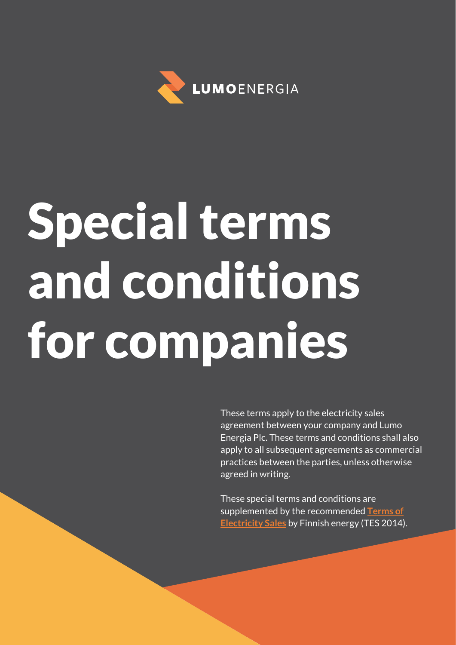

# Special terms and conditions for companies

These terms apply to the electricity sales agreement between your company and Lumo Energia Plc. These terms and conditions shall also apply to all subsequent agreements as commercial practices between the parties, unless otherwise agreed in writing.

These special terms and conditions are supplemented by the recommended **[Terms of](https://energia.fi/files/1066/Terms_of_Electricity_Sales_TESa2014_20160118.pdf)  [Electricity Sales](https://energia.fi/files/1066/Terms_of_Electricity_Sales_TESa2014_20160118.pdf)** by Finnish energy (TES 2014).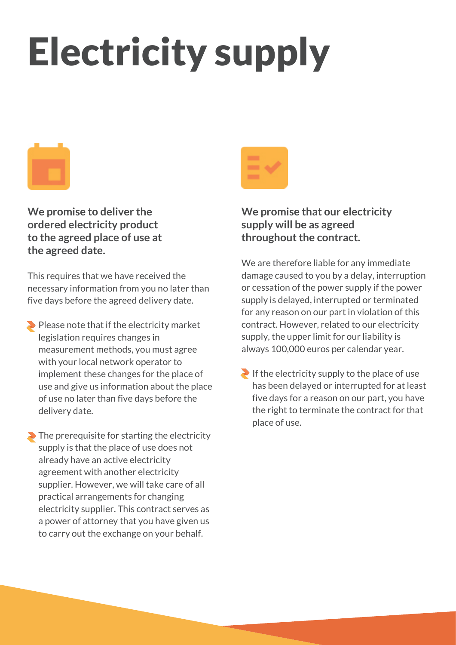## Electricity supply



**We promise to deliver the ordered electricity product to the agreed place of use at the agreed date.**

This requires that we have received the necessary information from you no later than five days before the agreed delivery date.

 $\blacktriangleright$  Please note that if the electricity market legislation requires changes in measurement methods, you must agree with your local network operator to implement these changes for the place of use and give us information about the place of use no later than five days before the delivery date.

 $\blacktriangleright$  The prerequisite for starting the electricity supply is that the place of use does not already have an active electricity agreement with another electricity supplier. However, we will take care of all practical arrangements for changing electricity supplier. This contract serves as a power of attorney that you have given us to carry out the exchange on your behalf.



**We promise that our electricity supply will be as agreed throughout the contract.**

We are therefore liable for any immediate damage caused to you by a delay, interruption or cessation of the power supply if the power supply is delayed, interrupted or terminated for any reason on our part in violation of this contract. However, related to our electricity supply, the upper limit for our liability is always 100,000 euros per calendar year.

If the electricity supply to the place of use has been delayed or interrupted for at least five days for a reason on our part, you have the right to terminate the contract for that place of use.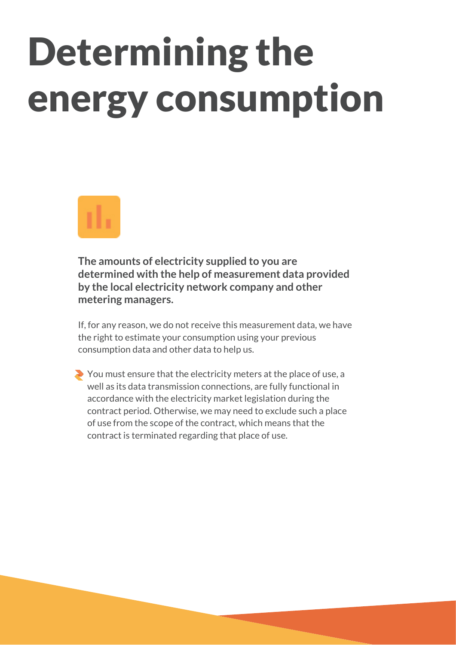### Determining the energy consumption



**The amounts of electricity supplied to you are determined with the help of measurement data provided by the local electricity network company and other metering managers.** 

If, for any reason, we do not receive this measurement data, we have the right to estimate your consumption using your previous consumption data and other data to help us.

You must ensure that the electricity meters at the place of use, a well as its data transmission connections, are fully functional in accordance with the electricity market legislation during the contract period. Otherwise, we may need to exclude such a place of use from the scope of the contract, which means that the contract is terminated regarding that place of use.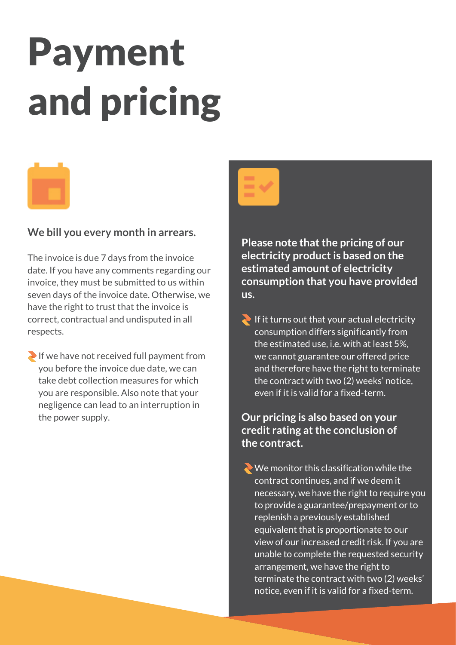## Payment and pricing



#### **We bill you every month in arrears.**

The invoice is due 7 days from the invoice date. If you have any comments regarding our invoice, they must be submitted to us within seven days of the invoice date. Otherwise, we have the right to trust that the invoice is correct, contractual and undisputed in all respects.

If we have not received full payment from you before the invoice due date, we can take debt collection measures for which you are responsible. Also note that your negligence can lead to an interruption in the power supply.

**Please note that the pricing of our electricity product is based on the estimated amount of electricity consumption that you have provided** 

**us.**

If it turns out that your actual electricity consumption differs significantly from the estimated use, i.e. with at least 5%, we cannot guarantee our offered price and therefore have the right to terminate the contract with two (2) weeks' notice. even if it is valid for a fixed-term.

**Our pricing is also based on your credit rating at the conclusion of the contract.**

 $\leftrightarrow$  We monitor this classification while the contract continues, and if we deem it necessary, we have the right to require you to provide a guarantee/prepayment or to replenish a previously established equivalent that is proportionate to our view of our increased credit risk. If you are unable to complete the requested security arrangement, we have the right to terminate the contract with two (2) weeks' notice, even if it is valid for a fixed-term.